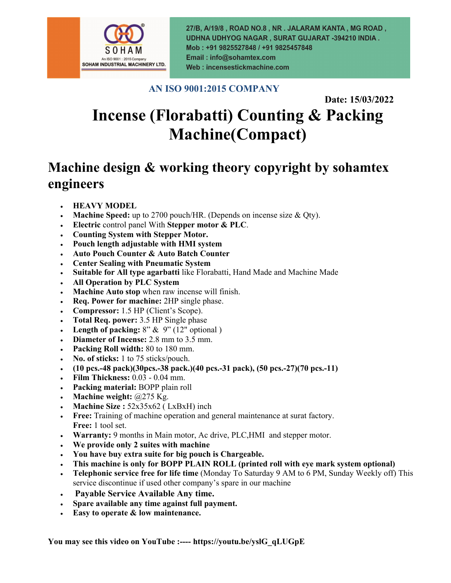

27/B, A/19/8, ROAD NO.8, NR. JALARAM KANTA, MG ROAD, UDHNA UDHYOG NAGAR, SURAT GUJARAT -394210 INDIA. Mob: +91 9825527848 / +91 9825457848 Email: info@sohamtex.com Web: incensestickmachine.com

## **AN ISO 9001:2015 COMPANY**

 **Date: 15/03/2022**

# **Incense (Florabatti) Counting & Packing Machine(Compact)**

# **Machine design & working theory copyright by sohamtex engineers**

- **HEAVY MODEL**
- **Machine Speed:** up to 2700 pouch/HR. (Depends on incense size & Qty).
- **Electric** control panel With **Stepper motor & PLC**.
- **Counting System with Stepper Motor.**
- **Pouch length adjustable with HMI system**
- **Auto Pouch Counter & Auto Batch Counter**
- **Center Sealing with Pneumatic System**
- **Suitable for All type agarbatti** like Florabatti, Hand Made and Machine Made
- **All Operation by PLC System**
- **Machine Auto stop** when raw incense will finish.
- **Req. Power for machine:** 2HP single phase.
- **Compressor:** 1.5 HP (Client's Scope).
- **Total Req. power:** 3.5 HP Single phase
- **Length of packing:**  $8''$  &  $9''$  (12" optional)
- **Diameter of Incense:** 2.8 mm to 3.5 mm.
- **Packing Roll width:** 80 to 180 mm.
- **No. of sticks:** 1 to 75 sticks/pouch.
- **(10 pcs.-48 pack)(30pcs.-38 pack.)(40 pcs.-31 pack), (50 pcs.-27)(70 pcs.-11)**
- **Film Thickness:** 0.03 0.04 mm.
- **Packing material:** BOPP plain roll
- **Machine weight:** @275 Kg.
- **Machine Size :** 52x35x62 ( LxBxH) inch
- **Free:** Training of machine operation and general maintenance at surat factory. **Free:** 1 tool set.
- **Warranty:** 9 months in Main motor, Ac drive, PLC,HMI and stepper motor.
- **We provide only 2 suites with machine**
- **You have buy extra suite for big pouch is Chargeable.**
- **This machine is only for BOPP PLAIN ROLL (printed roll with eye mark system optional)**
- **Telephonic service free for life time** (Monday To Saturday 9 AM to 6 PM, Sunday Weekly off) This service discontinue if used other company's spare in our machine
- **Payable Service Available Any time.**
- **Spare available any time against full payment.**
- **Easy to operate & low maintenance.**

**You may see this video on YouTube :---- https://youtu.be/yslG\_qLUGpE**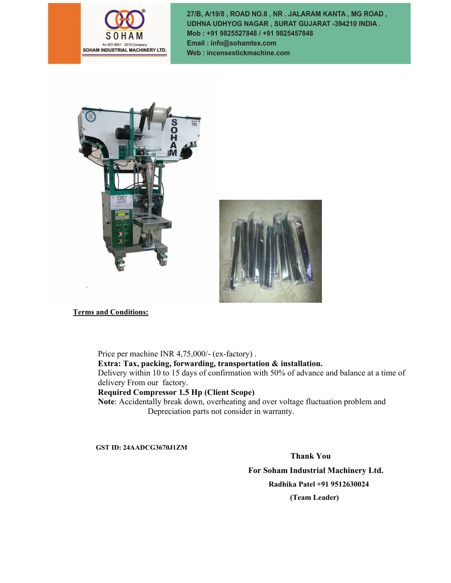

27/B, A/19/8, ROAD NO.8, NR. JALARAM KANTA, MG ROAD, UDHNA UDHYOG NAGAR, SURAT GUJARAT -394210 INDIA. Mob: +91 9825527848 / +91 9825457848 Email: info@sohamtex.com Web: incensestickmachine.com





**Terms and Conditions:**

Price per machine INR 4,75,000/- (ex-factory) .

**Extra: Tax, packing, forwarding, transportation & installation.**

Delivery within 10 to 15 days of confirmation with 50% of advance and balance at a time of delivery From our factory.

#### **Required Compressor 1.5 Hp (Client Scope)**

**Note**: Accidentally break down, overheating and over voltage fluctuation problem and Depreciation parts not consider in warranty.

**GST ID: 24AADCG3670J1ZM**

 **Thank You For Soham Industrial Machinery Ltd. Radhika Patel +91 9512630024 (Team Leader)**